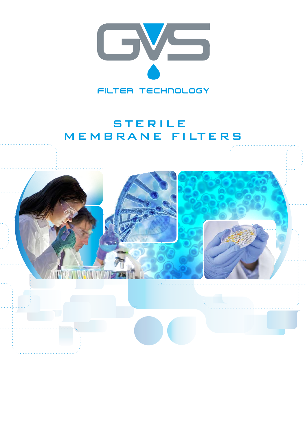

# STERILE MEMBRANE FILTERS

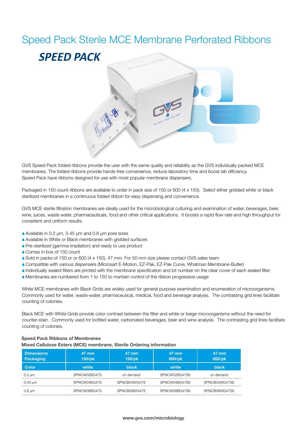## Speed Pack Sterile MCE Membrane Perforated Ribbons



GVS Speed Pack folded ribbons provide the user with the same quality and reliability as the GVS individually packed MCE membranes. The folded ribbons provide hands-free convenience, reduce laboratory time and boost lab efficiency. Speed Pack have ribbons designed for use with most popular membrane dispensers.

Packaged in 150 count ribbons are available to order in pack size of 150 or 600 (4 x 150). Select either gridded white or black sterilized membranes in a continuous folded ribbon for easy dispensing and convenience.

GVS MCE sterile filtration membranes are ideally used for the microbiological culturing and examination of water, beverages, beer, wine, juices, waste water, pharmaceuticals, food and other critical applications. It boosts a rapid flow rate and high throughput for consistent and uniform results.

- A Available in 0.2 µm, 0.45 µm and 0.8 µm pore sizes
- A Available in White or Black membranes with gridded surfaces
- Pre-sterilized (gamma irradiation) and ready to use product
- A Comes in box of 150 count
- Sold in packs of 150 or or 600 (4 x 150), 47 mm. For 50 mm size please contact GVS sales team
- A Compatible with various dispensers (Microsart E-Motion, EZ-Pak, EZ-Pak Curve, Whatman Membrane-Butler)
- AIndividually sealed filters are printed with the membrane specification and lot number on the clear cover of each sealed filter
- A Membranes are numbered from 1 to 150 to mantain control of the ribbon progressive usage

White MCE membranes with Black Grids are widely used for general purpose examination and enumeration of microorganisms. Commonly used for water, waste-water, pharmaceutical, medical, food and beverage analysis. The contrasting grid lines facilitate counting of colonies.

Black MCE with White Grids provide color contrast between the filter and white or beige microorganisms without the need for counter-stain. Commonly used for bottled water, carbonated beverages, beer and wine analysis. The contrasting grid lines facilitate counting of colonies.

## **Speed Pack Ribbons of Membranes Mixed Cellulose Esters (MCE) membrane, Sterile Ordering information**

| <b>Dimensions</b><br>Packaging | 47 mm<br>150/pk | 47 mm<br>$150$ /pk | 47 mm<br>600/pk | $47$ mm<br>600/pk |  |
|--------------------------------|-----------------|--------------------|-----------------|-------------------|--|
| <b>Color</b>                   | white           | <b>black</b>       | white           | <b>black</b>      |  |
| $0.2 \mu m$                    | SPNCW02BG47S    | on demand          | SPNCW02BG47S6   | on demand         |  |
| $0.45 \,\mathrm{\upmu m}$      | SPNCW04BG47S    | SPNCB04WG47S       | SPNCW04BG47S6   | SPNCB04WG47S6     |  |
| 0.8 µm                         | SPNCW08BG47S    | SPNCB08WG47S       | SPNCW08BG47S6   | SPNCB08WG47S6     |  |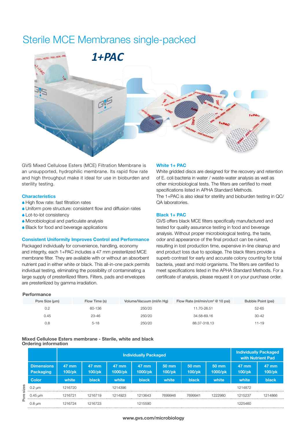# Sterile MCE Membranes single-packed



GVS Mixed Cellulose Esters (MCE) Filtration Membrane is an unsupported, hydrophilic membrane. Its rapid flow rate and high throughput make it ideal for use in bioburden and sterility testing.

## **Characteristics**

- ◆ High flow rate: fast filtration rates
- A Uniform pore structure: consistent flow and diffusion rates
- ▲ Lot-to-lot consistency
- A Microbiological and particulate analysis
- Black for food and beverage applications

## **Consistent Uniformity Improves Control and Performance**

Packaged individually for convenience, handling, economy and integrity, each 1+PAC includes a 47 mm presterilized MCE membrane filter. They are available with or without an absorbent nutrient pad in either white or black. This all-in-one pack permits individual testing, eliminating the possibility of contaminating a large supply of presterilized filters. Filters, pads and envelopes are presterilized by gamma irradiation.

## **White 1+ PAC**

White gridded discs are designed for the recovery and retention of E. coli bacteria in water / waste-water analysis as well as other microbiological tests. The filters are certified to meet specifications listed in APHA Standard Methods. The 1+PAC is also ideal for sterility and bioburden testing in QC/ QA laboratories.

## **Black 1+ PAC**

GVS offers black MCE filters specifically manufactured and tested for quality assurance testing in food and beverage analysis. Without proper microbiological testing, the taste, odor and appearance of the final product can be ruined, resulting in lost production time, expensive in-line cleanup and end product loss due to spoilage. The black filters provide a superb contrast for early and accurate colony counting for total bacteria, yeast and mold organisms. The filters are certified to meet specifications listed in the APHA Standard Methods. For a certificate of analysis, please request it on your purchase order.

## **Performance**

| Pore Size (um) | Flow Time (s) | Volume/Vacuum (ml/in Hg) | Flow Rate (ml/min/cm <sup>2</sup> $@$ 10 psi) | Bubble Point (psi) |
|----------------|---------------|--------------------------|-----------------------------------------------|--------------------|
| 0.2            | 60-136        | 250/20                   | 11.70-26.51                                   | 52-65              |
| 0.45           | $23 - 46$     | 250/20                   | 34.58-69.16                                   | $30 - 42$          |
| 0.8            | $5 - 18$      | 250/20                   | 88.37-318.13                                  | 11-19              |

**Mixed Cellulose Esters membrane - Sterile, white and black Ordering information**

|                            |                                       | <b>Individually Packaged</b> |                 |                  |                  |                    | <b>Individually Packaged</b><br>with Nutrient Pad |                            |                    |                    |
|----------------------------|---------------------------------------|------------------------------|-----------------|------------------|------------------|--------------------|---------------------------------------------------|----------------------------|--------------------|--------------------|
| sizes<br>உ<br><sub>o</sub> | <b>Dimensions</b><br><b>Packaging</b> | $47 \text{ mm}$<br>$100$ /pk | 47 mm<br>100/pk | 47 mm<br>1000/pk | 47 mm<br>1000/pk | 50 mm<br>$100$ /pk | 50 mm<br>$100$ /pk                                | $50 \text{ mm}$<br>1000/pk | 47 mm<br>$100$ /pk | 47 mm<br>$100$ /pk |
|                            | <b>Color</b>                          | white                        | black           | white            | black            | white              | <b>black</b>                                      | white                      | white              | <b>black</b>       |
|                            | $0.2 \mu m$                           | 1216720                      |                 | 1214396          |                  |                    |                                                   |                            | 1214872            |                    |
|                            | $0.45 \,\mathrm{\upmu m}$             | 1216721                      | 1216719         | 1214923          | 1213643          | 7699946            | 7699941                                           | 1222980                    | 1215237            | 1214866            |
|                            | $0.8 \mu m$                           | 1216724                      | 1216723         |                  | 1215590          |                    |                                                   |                            | 1225460            |                    |

#### **www.gvs.com/microbiology**